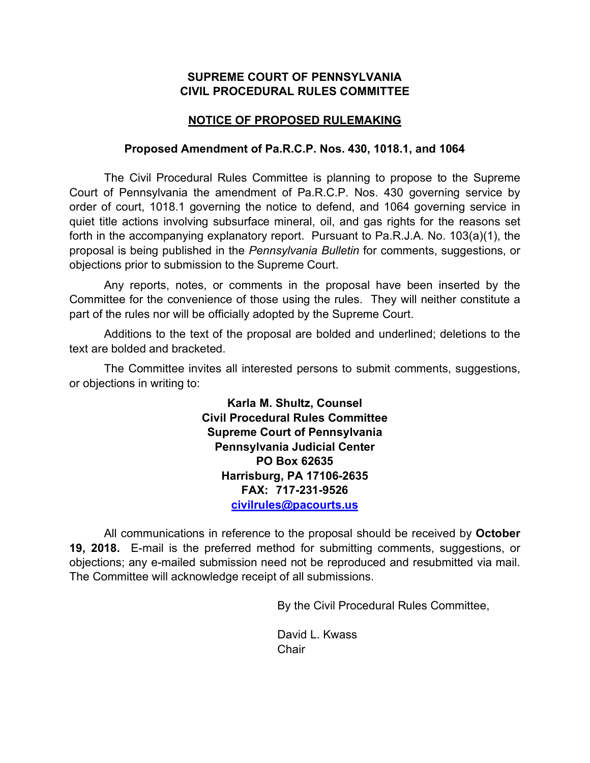## **SUPREME COURT OF PENNSYLVANIA CIVIL PROCEDURAL RULES COMMITTEE**

## **NOTICE OF PROPOSED RULEMAKING**

## **Proposed Amendment of Pa.R.C.P. Nos. 430, 1018.1, and 1064**

The Civil Procedural Rules Committee is planning to propose to the Supreme Court of Pennsylvania the amendment of Pa.R.C.P. Nos. 430 governing service by order of court, 1018.1 governing the notice to defend, and 1064 governing service in quiet title actions involving subsurface mineral, oil, and gas rights for the reasons set forth in the accompanying explanatory report. Pursuant to Pa.R.J.A. No. 103(a)(1), the proposal is being published in the *Pennsylvania Bulletin* for comments, suggestions, or objections prior to submission to the Supreme Court.

Any reports, notes, or comments in the proposal have been inserted by the Committee for the convenience of those using the rules. They will neither constitute a part of the rules nor will be officially adopted by the Supreme Court.

Additions to the text of the proposal are bolded and underlined; deletions to the text are bolded and bracketed.

The Committee invites all interested persons to submit comments, suggestions, or objections in writing to:

> **Karla M. Shultz, Counsel Civil Procedural Rules Committee Supreme Court of Pennsylvania Pennsylvania Judicial Center PO Box 62635 Harrisburg, PA 17106-2635 FAX: 717-231-9526 civilrules@pacourts.us**

All communications in reference to the proposal should be received by **October 19, 2018.** E-mail is the preferred method for submitting comments, suggestions, or objections; any e-mailed submission need not be reproduced and resubmitted via mail. The Committee will acknowledge receipt of all submissions.

By the Civil Procedural Rules Committee,

David L. Kwass **Chair**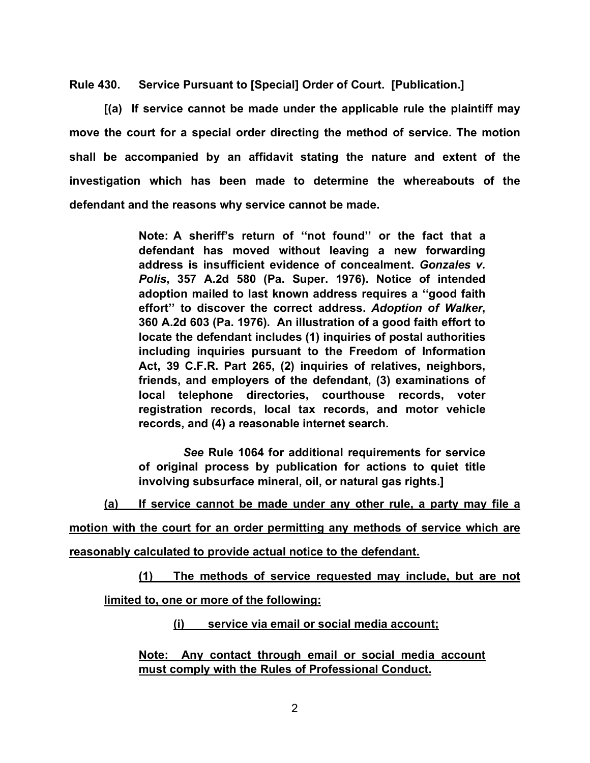**Rule 430. Service Pursuant to [Special] Order of Court. [Publication.]**

**[(a) If service cannot be made under the applicable rule the plaintiff may move the court for a special order directing the method of service. The motion shall be accompanied by an affidavit stating the nature and extent of the investigation which has been made to determine the whereabouts of the defendant and the reasons why service cannot be made.**

> **Note: A sheriff's return of ''not found'' or the fact that a defendant has moved without leaving a new forwarding address is insufficient evidence of concealment.** *Gonzales v. Polis***, 357 A.2d 580 (Pa. Super. 1976). Notice of intended adoption mailed to last known address requires a ''good faith effort'' to discover the correct address.** *Adoption of Walker***, 360 A.2d 603 (Pa. 1976). An illustration of a good faith effort to locate the defendant includes (1) inquiries of postal authorities including inquiries pursuant to the Freedom of Information Act, 39 C.F.R. Part 265, (2) inquiries of relatives, neighbors, friends, and employers of the defendant, (3) examinations of local telephone directories, courthouse records, voter registration records, local tax records, and motor vehicle records, and (4) a reasonable internet search.**

> *See* **Rule 1064 for additional requirements for service of original process by publication for actions to quiet title involving subsurface mineral, oil, or natural gas rights.]**

**(a) If service cannot be made under any other rule, a party may file a** 

**motion with the court for an order permitting any methods of service which are reasonably calculated to provide actual notice to the defendant.**

**(1) The methods of service requested may include, but are not** 

**limited to, one or more of the following:**

**(i) service via email or social media account;**

**Note: Any contact through email or social media account must comply with the Rules of Professional Conduct.**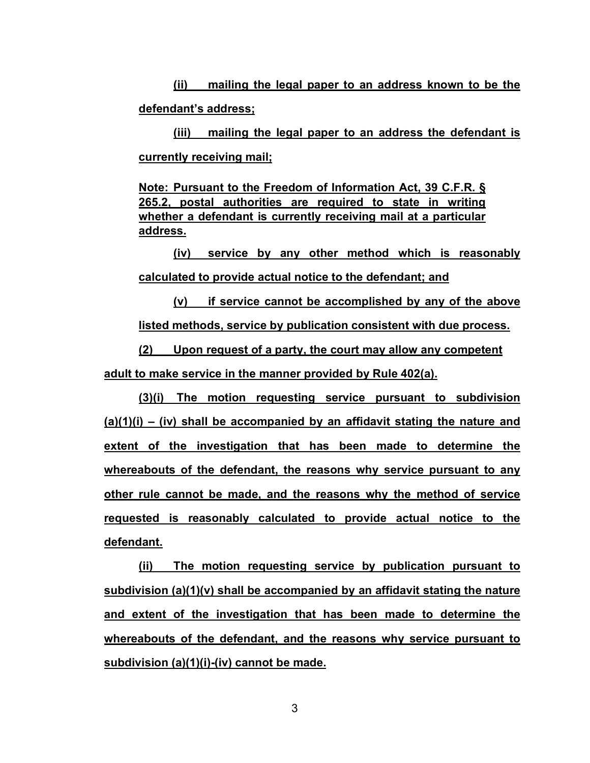**(ii) mailing the legal paper to an address known to be the defendant's address;**

**(iii) mailing the legal paper to an address the defendant is currently receiving mail;**

**Note: Pursuant to the Freedom of Information Act, 39 C.F.R. § 265.2, postal authorities are required to state in writing whether a defendant is currently receiving mail at a particular address.**

**(iv) service by any other method which is reasonably calculated to provide actual notice to the defendant; and**

**(v) if service cannot be accomplished by any of the above listed methods, service by publication consistent with due process.**

**(2) Upon request of a party, the court may allow any competent adult to make service in the manner provided by Rule 402(a).**

**(3)(i) The motion requesting service pursuant to subdivision (a)(1)(i) – (iv) shall be accompanied by an affidavit stating the nature and extent of the investigation that has been made to determine the whereabouts of the defendant, the reasons why service pursuant to any other rule cannot be made, and the reasons why the method of service requested is reasonably calculated to provide actual notice to the defendant.**

**(ii) The motion requesting service by publication pursuant to subdivision (a)(1)(v) shall be accompanied by an affidavit stating the nature and extent of the investigation that has been made to determine the whereabouts of the defendant, and the reasons why service pursuant to subdivision (a)(1)(i)-(iv) cannot be made.**

3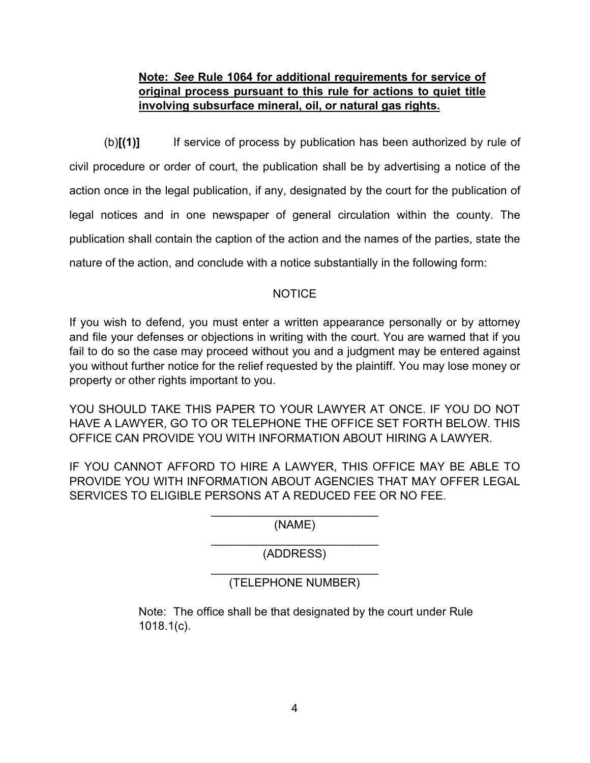# **Note:** *See* **Rule 1064 for additional requirements for service of original process pursuant to this rule for actions to quiet title involving subsurface mineral, oil, or natural gas rights.**

(b)**[(1)]** If service of process by publication has been authorized by rule of civil procedure or order of court, the publication shall be by advertising a notice of the action once in the legal publication, if any, designated by the court for the publication of legal notices and in one newspaper of general circulation within the county. The publication shall contain the caption of the action and the names of the parties, state the nature of the action, and conclude with a notice substantially in the following form:

## NOTICE

If you wish to defend, you must enter a written appearance personally or by attorney and file your defenses or objections in writing with the court. You are warned that if you fail to do so the case may proceed without you and a judgment may be entered against you without further notice for the relief requested by the plaintiff. You may lose money or property or other rights important to you.

YOU SHOULD TAKE THIS PAPER TO YOUR LAWYER AT ONCE. IF YOU DO NOT HAVE A LAWYER, GO TO OR TELEPHONE THE OFFICE SET FORTH BELOW. THIS OFFICE CAN PROVIDE YOU WITH INFORMATION ABOUT HIRING A LAWYER.

IF YOU CANNOT AFFORD TO HIRE A LAWYER, THIS OFFICE MAY BE ABLE TO PROVIDE YOU WITH INFORMATION ABOUT AGENCIES THAT MAY OFFER LEGAL SERVICES TO ELIGIBLE PERSONS AT A REDUCED FEE OR NO FEE.

> \_\_\_\_\_\_\_\_\_\_\_\_\_\_\_\_\_\_\_\_\_\_\_\_\_\_ (NAME)

> \_\_\_\_\_\_\_\_\_\_\_\_\_\_\_\_\_\_\_\_\_\_\_\_\_\_ (ADDRESS)

## \_\_\_\_\_\_\_\_\_\_\_\_\_\_\_\_\_\_\_\_\_\_\_\_\_\_ (TELEPHONE NUMBER)

Note: The office shall be that designated by the court under Rule 1018.1(c).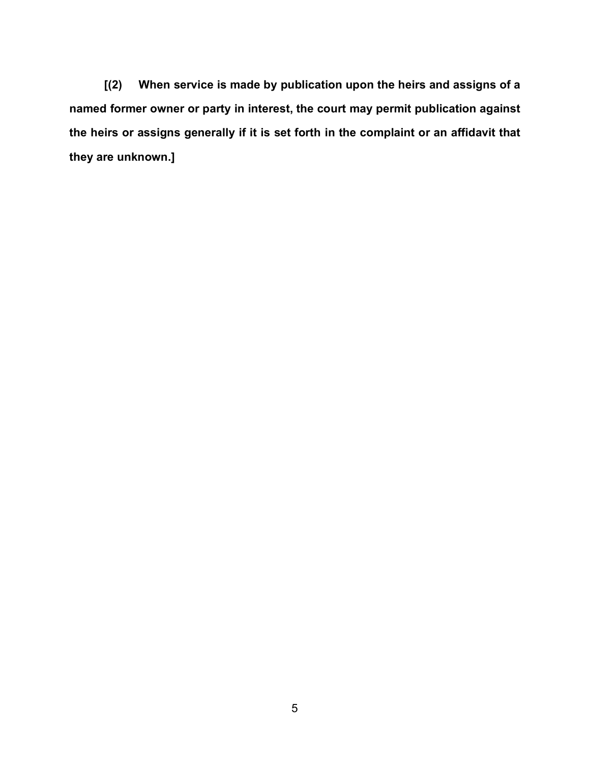**[(2) When service is made by publication upon the heirs and assigns of a named former owner or party in interest, the court may permit publication against the heirs or assigns generally if it is set forth in the complaint or an affidavit that they are unknown.]**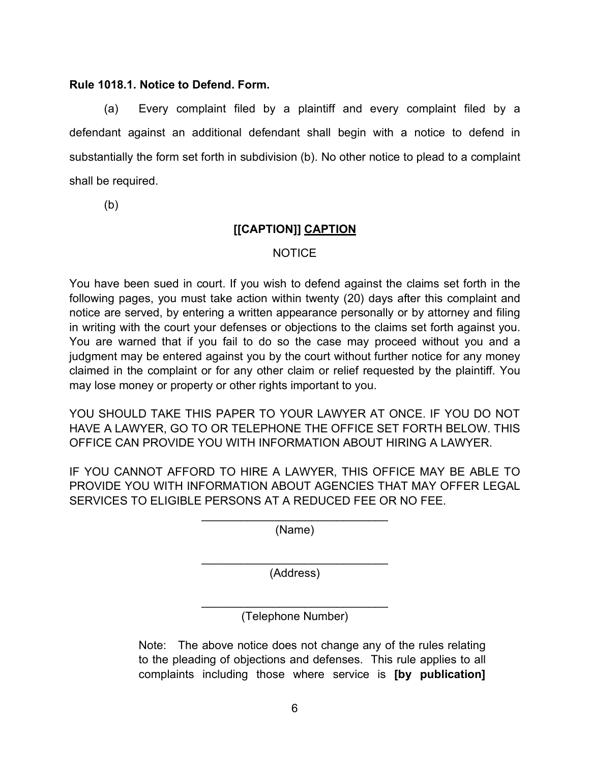### **Rule 1018.1. Notice to Defend. Form.**

(a) Every complaint filed by a plaintiff and every complaint filed by a defendant against an additional defendant shall begin with a notice to defend in substantially the form set forth in subdivision (b). No other notice to plead to a complaint shall be required.

(b)

# **[[CAPTION]] CAPTION**

## NOTICE

You have been sued in court. If you wish to defend against the claims set forth in the following pages, you must take action within twenty (20) days after this complaint and notice are served, by entering a written appearance personally or by attorney and filing in writing with the court your defenses or objections to the claims set forth against you. You are warned that if you fail to do so the case may proceed without you and a judgment may be entered against you by the court without further notice for any money claimed in the complaint or for any other claim or relief requested by the plaintiff. You may lose money or property or other rights important to you.

YOU SHOULD TAKE THIS PAPER TO YOUR LAWYER AT ONCE. IF YOU DO NOT HAVE A LAWYER, GO TO OR TELEPHONE THE OFFICE SET FORTH BELOW. THIS OFFICE CAN PROVIDE YOU WITH INFORMATION ABOUT HIRING A LAWYER.

IF YOU CANNOT AFFORD TO HIRE A LAWYER, THIS OFFICE MAY BE ABLE TO PROVIDE YOU WITH INFORMATION ABOUT AGENCIES THAT MAY OFFER LEGAL SERVICES TO ELIGIBLE PERSONS AT A REDUCED FEE OR NO FEE.

> $\mathcal{L}_\text{max}$  , where  $\mathcal{L}_\text{max}$  , we are the set of the set of the set of the set of the set of the set of the set of the set of the set of the set of the set of the set of the set of the set of the set of the set of (Name)

> $\overline{\phantom{a}}$  , and the set of the set of the set of the set of the set of the set of the set of the set of the set of the set of the set of the set of the set of the set of the set of the set of the set of the set of the s (Address)

> $\mathcal{L}_\text{max}$  , where  $\mathcal{L}_\text{max}$  , we are the set of the set of the set of the set of the set of the set of the set of the set of the set of the set of the set of the set of the set of the set of the set of the set of (Telephone Number)

Note: The above notice does not change any of the rules relating to the pleading of objections and defenses. This rule applies to all complaints including those where service is **[by publication]**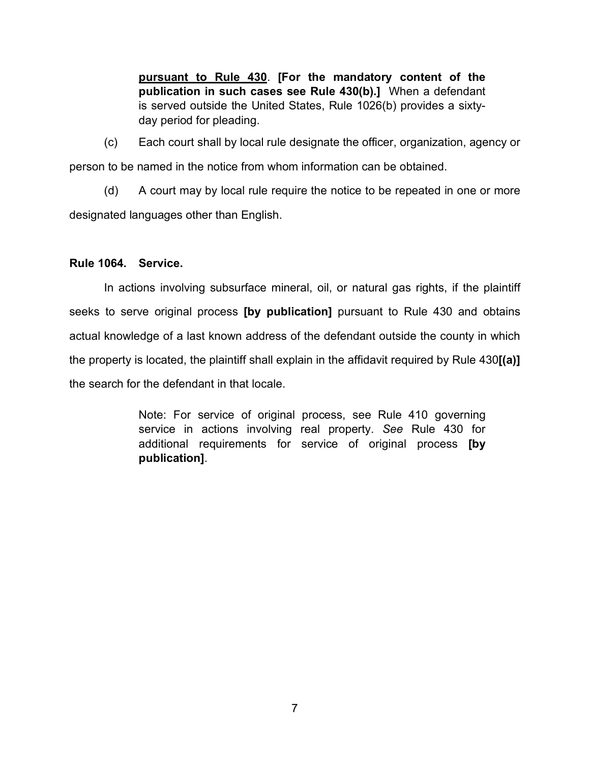**pursuant to Rule 430**. **[For the mandatory content of the publication in such cases see Rule 430(b).]** When a defendant is served outside the United States, Rule 1026(b) provides a sixtyday period for pleading.

(c) Each court shall by local rule designate the officer, organization, agency or person to be named in the notice from whom information can be obtained.

(d) A court may by local rule require the notice to be repeated in one or more designated languages other than English.

## **Rule 1064. Service.**

In actions involving subsurface mineral, oil, or natural gas rights, if the plaintiff seeks to serve original process **[by publication]** pursuant to Rule 430 and obtains actual knowledge of a last known address of the defendant outside the county in which the property is located, the plaintiff shall explain in the affidavit required by Rule 430**[(a)]** the search for the defendant in that locale.

> Note: For service of original process, see Rule 410 governing service in actions involving real property. *See* Rule 430 for additional requirements for service of original process **[by publication]**.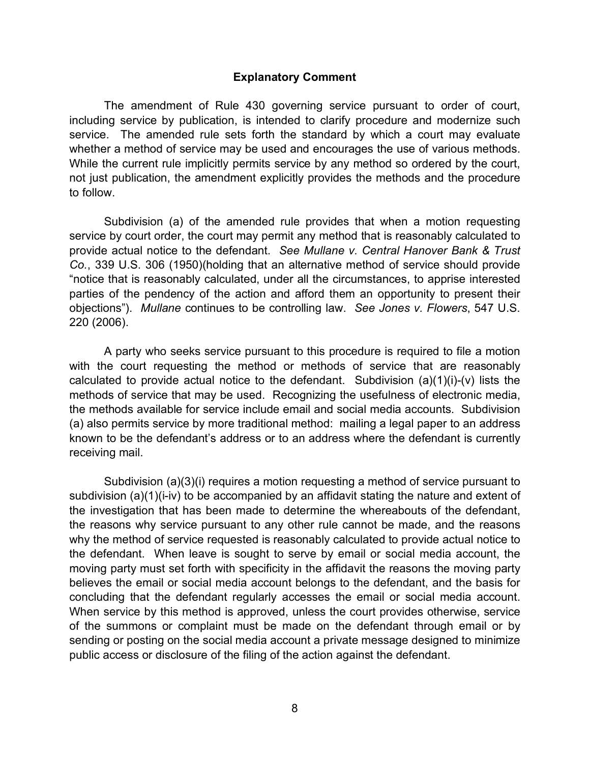#### **Explanatory Comment**

The amendment of Rule 430 governing service pursuant to order of court, including service by publication, is intended to clarify procedure and modernize such service. The amended rule sets forth the standard by which a court may evaluate whether a method of service may be used and encourages the use of various methods. While the current rule implicitly permits service by any method so ordered by the court, not just publication, the amendment explicitly provides the methods and the procedure to follow.

Subdivision (a) of the amended rule provides that when a motion requesting service by court order, the court may permit any method that is reasonably calculated to provide actual notice to the defendant. *See Mullane v. Central Hanover Bank & Trust Co.*, 339 U.S. 306 (1950)(holding that an alternative method of service should provide "notice that is reasonably calculated, under all the circumstances, to apprise interested parties of the pendency of the action and afford them an opportunity to present their objections"). *Mullane* continues to be controlling law. *See Jones v. Flowers*, 547 U.S. 220 (2006).

A party who seeks service pursuant to this procedure is required to file a motion with the court requesting the method or methods of service that are reasonably calculated to provide actual notice to the defendant. Subdivision  $(a)(1)(i)-(v)$  lists the methods of service that may be used. Recognizing the usefulness of electronic media, the methods available for service include email and social media accounts. Subdivision (a) also permits service by more traditional method: mailing a legal paper to an address known to be the defendant's address or to an address where the defendant is currently receiving mail.

Subdivision (a)(3)(i) requires a motion requesting a method of service pursuant to subdivision (a)(1)(i-iv) to be accompanied by an affidavit stating the nature and extent of the investigation that has been made to determine the whereabouts of the defendant, the reasons why service pursuant to any other rule cannot be made, and the reasons why the method of service requested is reasonably calculated to provide actual notice to the defendant. When leave is sought to serve by email or social media account, the moving party must set forth with specificity in the affidavit the reasons the moving party believes the email or social media account belongs to the defendant, and the basis for concluding that the defendant regularly accesses the email or social media account. When service by this method is approved, unless the court provides otherwise, service of the summons or complaint must be made on the defendant through email or by sending or posting on the social media account a private message designed to minimize public access or disclosure of the filing of the action against the defendant.